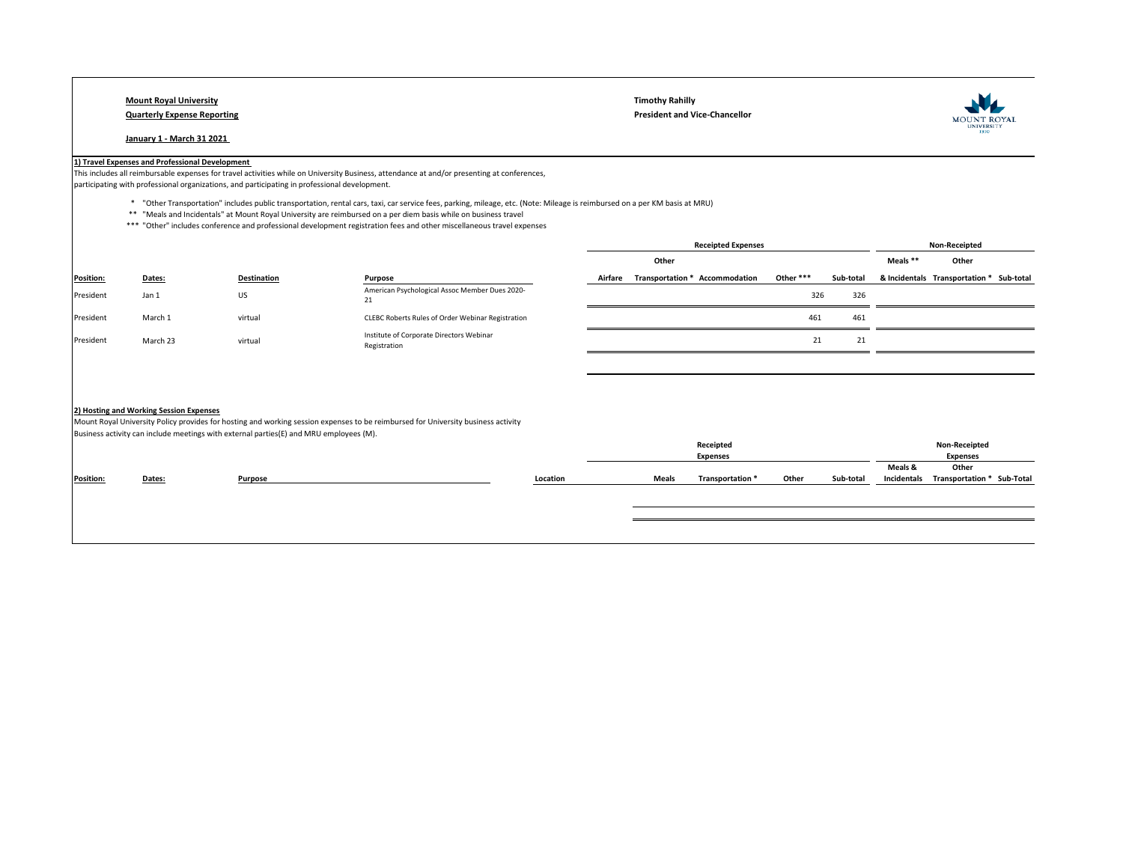## **January 1 - March 31 2021**

**Mount Royal University Timothy Rahilly Quarterly Expense Reporting President and Vice-Chancellor** 



## **1) Travel Expenses and Professional Development**

This includes all reimbursable expenses for travel activities while on University Business, attendance at and/or presenting at conferences,

participating with professional organizations, and participating in professional development.

\* "Other Transportation" includes public transportation, rental cars, taxi, car service fees, parking, mileage, etc. (Note: Mileage is reimbursed on a per KM basis at MRU)

- \*\* "Meals and Incidentals" at Mount Royal University are reimbursed on a per diem basis while on business travel
- \*\*\* "Other" includes conference and professional development registration fees and other miscellaneous travel expenses

|                  |          |                    |                                                          | <b>Receipted Expenses</b> |                                |           |           | <b>Non-Receipted</b> |                                          |  |
|------------------|----------|--------------------|----------------------------------------------------------|---------------------------|--------------------------------|-----------|-----------|----------------------|------------------------------------------|--|
|                  |          |                    |                                                          |                           | Other                          |           |           | Meals **             | Other                                    |  |
| <b>Position:</b> | Dates:   | <b>Destination</b> | Purpose                                                  | Airfare                   | Transportation * Accommodation | Other *** | Sub-total |                      | & Incidentals Transportation * Sub-total |  |
| President        | Jan 1    | <b>US</b>          | American Psychological Assoc Member Dues 2020-<br>21     |                           |                                | 326       | 326       |                      |                                          |  |
| President        | March 1  | virtual            | CLEBC Roberts Rules of Order Webinar Registration        |                           |                                | 461       | 461       |                      |                                          |  |
| President        | March 23 | virtual            | Institute of Corporate Directors Webinar<br>Registration |                           |                                | 21        | 21        |                      |                                          |  |
|                  |          |                    |                                                          |                           |                                |           |           |                      |                                          |  |
|                  |          |                    |                                                          |                           |                                |           |           |                      |                                          |  |
|                  |          |                    |                                                          |                           |                                |           |           |                      |                                          |  |

## **2) Hosting and Working Session Expenses**

Mount Royal University Policy provides for hosting and working session expenses to be reimbursed for University business activity Business activity can include meetings with external parties(E) and MRU employees (M).

|                  |        |         |          | Receipted |                  |       | Non-Receipted |                 |                            |  |
|------------------|--------|---------|----------|-----------|------------------|-------|---------------|-----------------|----------------------------|--|
|                  |        |         |          |           | <b>Expenses</b>  |       |               | <b>Expenses</b> |                            |  |
|                  |        |         |          |           |                  |       |               | Meals &         | Other                      |  |
| <b>Position:</b> | Dates: | Purpose | Location | Meals     | Transportation * | Other | Sub-total     | Incidentals     | Transportation * Sub-Total |  |
|                  |        |         |          |           |                  |       |               |                 |                            |  |
|                  |        |         |          |           |                  |       |               |                 |                            |  |
|                  |        |         |          |           |                  |       |               |                 |                            |  |
|                  |        |         |          |           |                  |       |               |                 |                            |  |